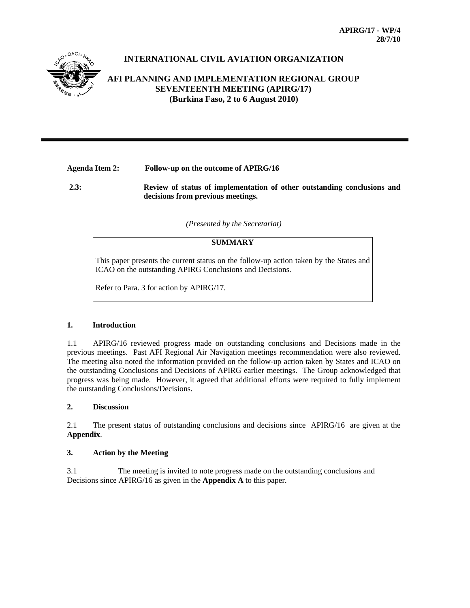

# **INTERNATIONAL CIVIL AVIATION ORGANIZATION**

# **AFI PLANNING AND IMPLEMENTATION REGIONAL GROUP SEVENTEENTH MEETING (APIRG/17) (Burkina Faso, 2 to 6 August 2010)**

## **Agenda Item 2: Follow-up on the outcome of APIRG/16**

**2.3: Review of status of implementation of other outstanding conclusions and decisions from previous meetings.** 

#### *(Presented by the Secretariat)*

#### **SUMMARY**

This paper presents the current status on the follow-up action taken by the States and ICAO on the outstanding APIRG Conclusions and Decisions.

Refer to Para. 3 for action by APIRG/17.

### **1. Introduction**

1.1 APIRG/16 reviewed progress made on outstanding conclusions and Decisions made in the previous meetings. Past AFI Regional Air Navigation meetings recommendation were also reviewed. The meeting also noted the information provided on the follow-up action taken by States and ICAO on the outstanding Conclusions and Decisions of APIRG earlier meetings. The Group acknowledged that progress was being made. However, it agreed that additional efforts were required to fully implement the outstanding Conclusions/Decisions.

### **2. Discussion**

2.1 The present status of outstanding conclusions and decisions since APIRG/16 are given at the **Appendix**.

#### **3. Action by the Meeting**

3.1 The meeting is invited to note progress made on the outstanding conclusions and Decisions since APIRG/16 as given in the **Appendix A** to this paper.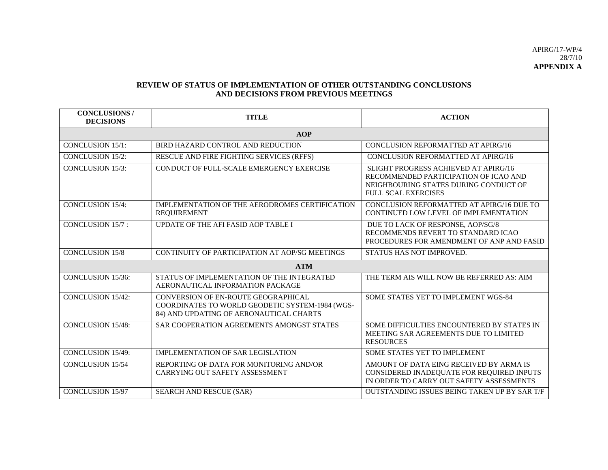#### **REVIEW OF STATUS OF IMPLEMENTATION OF OTHER OUTSTANDING CONCLUSIONS AND DECISIONS FROM PREVIOUS MEETINGS**

| <b>CONCLUSIONS</b> /<br><b>DECISIONS</b> | <b>TITLE</b>                                                                                                                      | <b>ACTION</b>                                                                                                                                        |  |  |  |
|------------------------------------------|-----------------------------------------------------------------------------------------------------------------------------------|------------------------------------------------------------------------------------------------------------------------------------------------------|--|--|--|
| <b>AOP</b>                               |                                                                                                                                   |                                                                                                                                                      |  |  |  |
| <b>CONCLUSION 15/1:</b>                  | BIRD HAZARD CONTROL AND REDUCTION                                                                                                 | <b>CONCLUSION REFORMATTED AT APIRG/16</b>                                                                                                            |  |  |  |
| <b>CONCLUSION 15/2:</b>                  | RESCUE AND FIRE FIGHTING SERVICES (RFFS)                                                                                          | <b>CONCLUSION REFORMATTED AT APIRG/16</b>                                                                                                            |  |  |  |
| <b>CONCLUSION 15/3:</b>                  | CONDUCT OF FULL-SCALE EMERGENCY EXERCISE                                                                                          | SLIGHT PROGRESS ACHIEVED AT APIRG/16<br>RECOMMENDED PARTICIPATION OF ICAO AND<br>NEIGHBOURING STATES DURING CONDUCT OF<br><b>FULL SCAL EXERCISES</b> |  |  |  |
| <b>CONCLUSION 15/4:</b>                  | IMPLEMENTATION OF THE AERODROMES CERTIFICATION<br><b>REQUIREMENT</b>                                                              | CONCLUSION REFORMATTED AT APIRG/16 DUE TO<br>CONTINUED LOW LEVEL OF IMPLEMENTATION                                                                   |  |  |  |
| <b>CONCLUSION 15/7:</b>                  | UPDATE OF THE AFI FASID AOP TABLE I                                                                                               | DUE TO LACK OF RESPONSE, AOP/SG/8<br>RECOMMENDS REVERT TO STANDARD ICAO<br>PROCEDURES FOR AMENDMENT OF ANP AND FASID                                 |  |  |  |
| <b>CONCLUSION 15/8</b>                   | CONTINUITY OF PARTICIPATION AT AOP/SG MEETINGS                                                                                    | STATUS HAS NOT IMPROVED.                                                                                                                             |  |  |  |
|                                          | <b>ATM</b>                                                                                                                        |                                                                                                                                                      |  |  |  |
| CONCLUSION 15/36:                        | STATUS OF IMPLEMENTATION OF THE INTEGRATED<br>AERONAUTICAL INFORMATION PACKAGE                                                    | THE TERM AIS WILL NOW BE REFERRED AS: AIM                                                                                                            |  |  |  |
| <b>CONCLUSION 15/42:</b>                 | CONVERSION OF EN-ROUTE GEOGRAPHICAL<br>COORDINATES TO WORLD GEODETIC SYSTEM-1984 (WGS-<br>84) AND UPDATING OF AERONAUTICAL CHARTS | SOME STATES YET TO IMPLEMENT WGS-84                                                                                                                  |  |  |  |
| <b>CONCLUSION 15/48:</b>                 | SAR COOPERATION AGREEMENTS AMONGST STATES                                                                                         | SOME DIFFICULTIES ENCOUNTERED BY STATES IN<br>MEETING SAR AGREEMENTS DUE TO LIMITED<br><b>RESOURCES</b>                                              |  |  |  |
| <b>CONCLUSION 15/49:</b>                 | IMPLEMENTATION OF SAR LEGISLATION                                                                                                 | SOME STATES YET TO IMPLEMENT                                                                                                                         |  |  |  |
| <b>CONCLUSION 15/54</b>                  | REPORTING OF DATA FOR MONITORING AND/OR<br><b>CARRYING OUT SAFETY ASSESSMENT</b>                                                  | AMOUNT OF DATA EING RECEIVED BY ARMA IS<br>CONSIDERED INADEQUATE FOR REQUIRED INPUTS<br>IN ORDER TO CARRY OUT SAFETY ASSESSMENTS                     |  |  |  |
| <b>CONCLUSION 15/97</b>                  | <b>SEARCH AND RESCUE (SAR)</b>                                                                                                    | OUTSTANDING ISSUES BEING TAKEN UP BY SAR T/F                                                                                                         |  |  |  |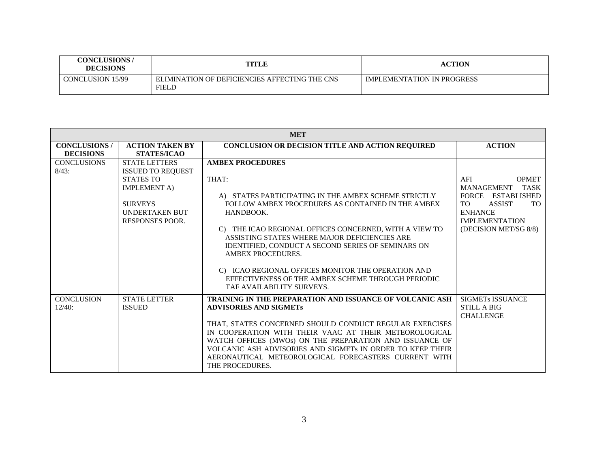| <b>CONCLUSIONS /</b><br><b>DECISIONS</b> | TITLE                                                  | <b>ACTION</b>              |
|------------------------------------------|--------------------------------------------------------|----------------------------|
| CONCLUSION 15/99                         | ELIMINATION OF DEFICIENCIES AFFECTING THE CNS<br>FIELD | IMPLEMENTATION IN PROGRESS |

| <b>MET</b>           |                          |                                                                                                                                                                                           |                                         |  |
|----------------------|--------------------------|-------------------------------------------------------------------------------------------------------------------------------------------------------------------------------------------|-----------------------------------------|--|
| <b>CONCLUSIONS /</b> | <b>ACTION TAKEN BY</b>   | CONCLUSION OR DECISION TITLE AND ACTION REQUIRED                                                                                                                                          | <b>ACTION</b>                           |  |
| <b>DECISIONS</b>     | <b>STATES/ICAO</b>       |                                                                                                                                                                                           |                                         |  |
| <b>CONCLUSIONS</b>   | <b>STATE LETTERS</b>     | <b>AMBEX PROCEDURES</b>                                                                                                                                                                   |                                         |  |
| $8/43$ :             | <b>ISSUED TO REQUEST</b> |                                                                                                                                                                                           |                                         |  |
|                      | <b>STATES TO</b>         | THAT:                                                                                                                                                                                     | AFI<br><b>OPMET</b>                     |  |
|                      | <b>IMPLEMENT A)</b>      |                                                                                                                                                                                           | <b>MANAGEMENT</b><br><b>TASK</b>        |  |
|                      |                          | A) STATES PARTICIPATING IN THE AMBEX SCHEME STRICTLY                                                                                                                                      | FORCE ESTABLISHED                       |  |
|                      | <b>SURVEYS</b>           | FOLLOW AMBEX PROCEDURES AS CONTAINED IN THE AMBEX                                                                                                                                         | <b>TO</b><br><b>ASSIST</b><br><b>TO</b> |  |
|                      | <b>UNDERTAKEN BUT</b>    | HANDBOOK.                                                                                                                                                                                 | <b>ENHANCE</b>                          |  |
|                      | <b>RESPONSES POOR.</b>   |                                                                                                                                                                                           | <b>IMPLEMENTATION</b>                   |  |
|                      |                          | C) THE ICAO REGIONAL OFFICES CONCERNED, WITH A VIEW TO<br>ASSISTING STATES WHERE MAJOR DEFICIENCIES ARE<br>IDENTIFIED, CONDUCT A SECOND SERIES OF SEMINARS ON<br><b>AMBEX PROCEDURES.</b> | (DECISION MET/SG 8/8)                   |  |
|                      |                          | C) ICAO REGIONAL OFFICES MONITOR THE OPERATION AND<br>EFFECTIVENESS OF THE AMBEX SCHEME THROUGH PERIODIC<br>TAF AVAILABILITY SURVEYS.                                                     |                                         |  |
| <b>CONCLUSION</b>    | <b>STATE LETTER</b>      | <b>TRAINING IN THE PREPARATION AND ISSUANCE OF VOLCANIC ASH</b>                                                                                                                           | <b>SIGMETs ISSUANCE</b>                 |  |
| 12/40:               | <b>ISSUED</b>            | <b>ADVISORIES AND SIGMETS</b>                                                                                                                                                             | <b>STILL A BIG</b>                      |  |
|                      |                          |                                                                                                                                                                                           | <b>CHALLENGE</b>                        |  |
|                      |                          | THAT, STATES CONCERNED SHOULD CONDUCT REGULAR EXERCISES                                                                                                                                   |                                         |  |
|                      |                          | IN COOPERATION WITH THEIR VAAC AT THEIR METEOROLOGICAL                                                                                                                                    |                                         |  |
|                      |                          | WATCH OFFICES (MWOs) ON THE PREPARATION AND ISSUANCE OF                                                                                                                                   |                                         |  |
|                      |                          | VOLCANIC ASH ADVISORIES AND SIGMETs IN ORDER TO KEEP THEIR                                                                                                                                |                                         |  |
|                      |                          | AERONAUTICAL METEOROLOGICAL FORECASTERS CURRENT WITH<br>THE PROCEDURES.                                                                                                                   |                                         |  |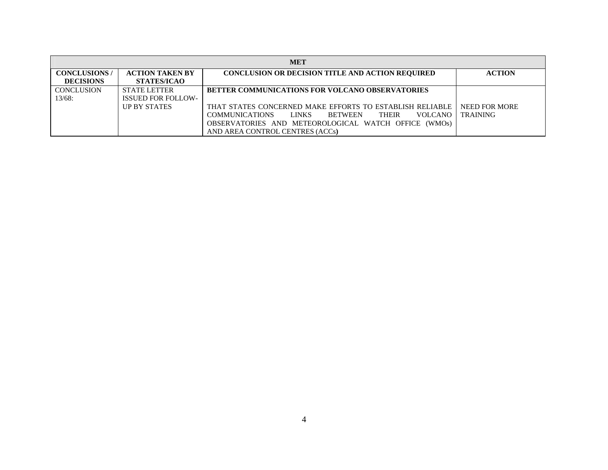| <b>MET</b>           |                           |                                                                                           |                 |  |  |
|----------------------|---------------------------|-------------------------------------------------------------------------------------------|-----------------|--|--|
| <b>CONCLUSIONS</b> / | <b>ACTION TAKEN BY</b>    | <b>CONCLUSION OR DECISION TITLE AND ACTION REQUIRED</b>                                   | <b>ACTION</b>   |  |  |
| <b>DECISIONS</b>     | <b>STATES/ICAO</b>        |                                                                                           |                 |  |  |
| <b>CONCLUSION</b>    | <b>STATE LETTER</b>       | <b>BETTER COMMUNICATIONS FOR VOLCANO OBSERVATORIES</b>                                    |                 |  |  |
| $13/68$ :            | <b>ISSUED FOR FOLLOW-</b> |                                                                                           |                 |  |  |
|                      | <b>UP BY STATES</b>       | THAT STATES CONCERNED MAKE EFFORTS TO ESTABLISH RELIABLE                                  | NEED FOR MORE   |  |  |
|                      |                           | <b>COMMUNICATIONS</b><br><b>LINKS</b><br><b>BETWEEN</b><br><b>VOLCANO</b><br><b>THEIR</b> | <b>TRAINING</b> |  |  |
|                      |                           | OBSERVATORIES AND METEOROLOGICAL WATCH OFFICE (WMOs)                                      |                 |  |  |
|                      |                           | AND AREA CONTROL CENTRES (ACCs)                                                           |                 |  |  |